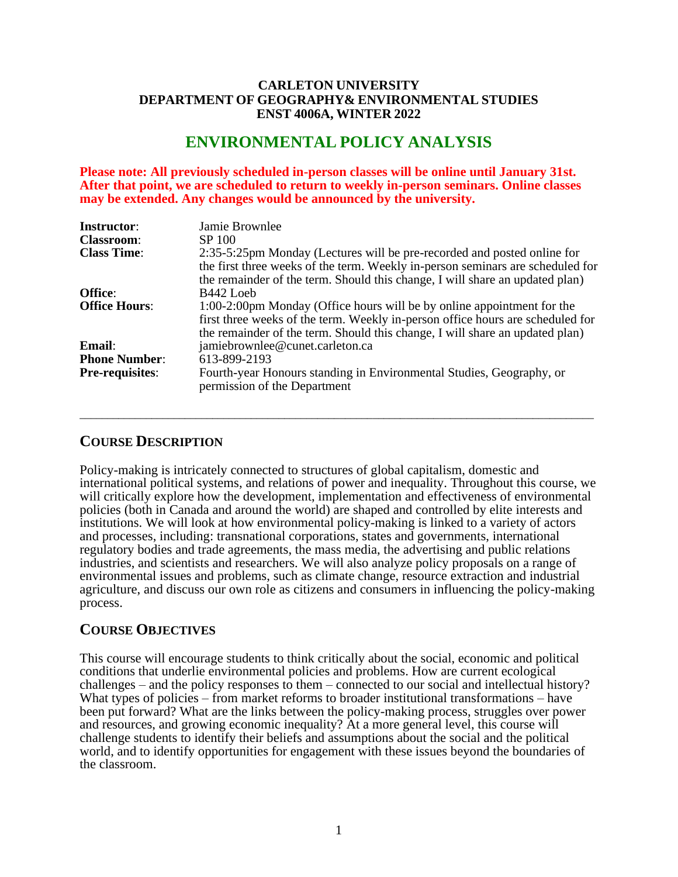### **CARLETON UNIVERSITY DEPARTMENT OF GEOGRAPHY& ENVIRONMENTAL STUDIES ENST 4006A, WINTER 2022**

# **ENVIRONMENTAL POLICY ANALYSIS**

**Please note: All previously scheduled in-person classes will be online until January 31st. After that point, we are scheduled to return to weekly in-person seminars. Online classes may be extended. Any changes would be announced by the university.**

| <b>Instructor:</b>     | Jamie Brownlee                                                                                                                                                                                                                            |  |  |  |
|------------------------|-------------------------------------------------------------------------------------------------------------------------------------------------------------------------------------------------------------------------------------------|--|--|--|
| <b>Classroom:</b>      | SP 100                                                                                                                                                                                                                                    |  |  |  |
| <b>Class Time:</b>     | 2:35-5:25pm Monday (Lectures will be pre-recorded and posted online for<br>the first three weeks of the term. Weekly in-person seminars are scheduled for<br>the remainder of the term. Should this change, I will share an updated plan) |  |  |  |
| Office:                | B442 Loeb                                                                                                                                                                                                                                 |  |  |  |
| <b>Office Hours:</b>   | 1:00-2:00pm Monday (Office hours will be by online appointment for the<br>first three weeks of the term. Weekly in-person office hours are scheduled for<br>the remainder of the term. Should this change, I will share an updated plan)  |  |  |  |
| Email:                 | jamiebrownlee@cunet.carleton.ca                                                                                                                                                                                                           |  |  |  |
| <b>Phone Number:</b>   | 613-899-2193                                                                                                                                                                                                                              |  |  |  |
| <b>Pre-requisites:</b> | Fourth-year Honours standing in Environmental Studies, Geography, or<br>permission of the Department                                                                                                                                      |  |  |  |

 $\_$  ,  $\_$  ,  $\_$  ,  $\_$  ,  $\_$  ,  $\_$  ,  $\_$  ,  $\_$  ,  $\_$  ,  $\_$  ,  $\_$  ,  $\_$  ,  $\_$  ,  $\_$  ,  $\_$  ,  $\_$  ,  $\_$  ,  $\_$  ,  $\_$  ,  $\_$  ,  $\_$  ,  $\_$  ,  $\_$  ,  $\_$  ,  $\_$  ,  $\_$  ,  $\_$  ,  $\_$  ,  $\_$  ,  $\_$  ,  $\_$  ,  $\_$  ,  $\_$  ,  $\_$  ,  $\_$  ,  $\_$  ,  $\_$  ,

## **COURSE DESCRIPTION**

Policy-making is intricately connected to structures of global capitalism, domestic and international political systems, and relations of power and inequality. Throughout this course, we will critically explore how the development, implementation and effectiveness of environmental policies (both in Canada and around the world) are shaped and controlled by elite interests and institutions. We will look at how environmental policy-making is linked to a variety of actors and processes, including: transnational corporations, states and governments, international regulatory bodies and trade agreements, the mass media, the advertising and public relations industries, and scientists and researchers. We will also analyze policy proposals on a range of environmental issues and problems, such as climate change, resource extraction and industrial agriculture, and discuss our own role as citizens and consumers in influencing the policy-making process.

## **COURSE OBJECTIVES**

This course will encourage students to think critically about the social, economic and political conditions that underlie environmental policies and problems. How are current ecological challenges – and the policy responses to them – connected to our social and intellectual history? What types of policies – from market reforms to broader institutional transformations – have been put forward? What are the links between the policy-making process, struggles over power and resources, and growing economic inequality? At a more general level, this course will challenge students to identify their beliefs and assumptions about the social and the political world, and to identify opportunities for engagement with these issues beyond the boundaries of the classroom.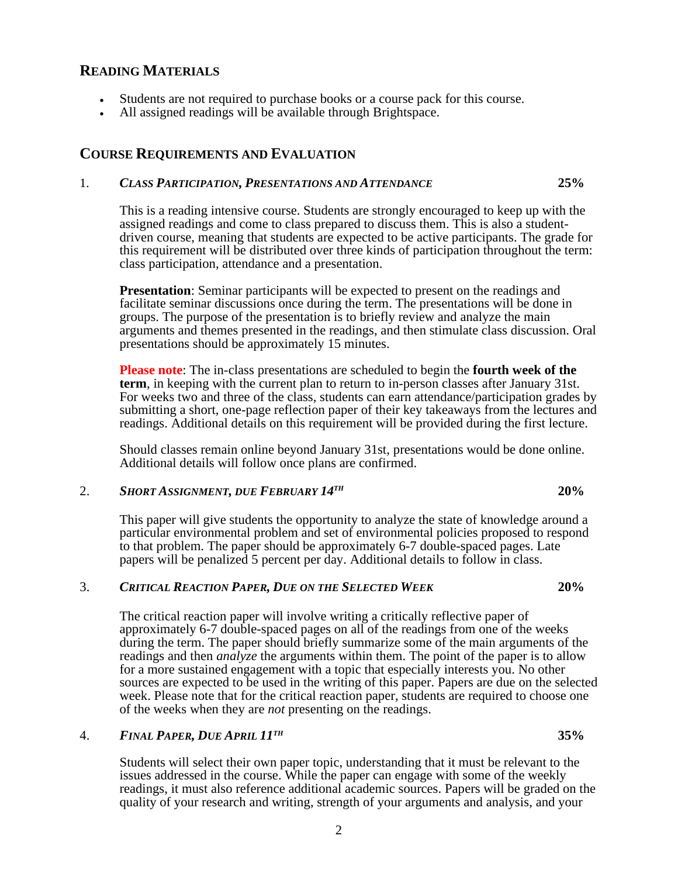## **READING MATERIALS**

- Students are not required to purchase books or a course pack for this course.
- All assigned readings will be available through Brightspace.

## **COURSE REQUIREMENTS AND EVALUATION**

## 1. *CLASS PARTICIPATION, PRESENTATIONS AND ATTENDANCE* **25%**

This is a reading intensive course. Students are strongly encouraged to keep up with the assigned readings and come to class prepared to discuss them. This is also a studentdriven course, meaning that students are expected to be active participants. The grade for this requirement will be distributed over three kinds of participation throughout the term: class participation, attendance and a presentation.

**Presentation**: Seminar participants will be expected to present on the readings and facilitate seminar discussions once during the term. The presentations will be done in groups. The purpose of the presentation is to briefly review and analyze the main arguments and themes presented in the readings, and then stimulate class discussion. Oral presentations should be approximately 15 minutes.

**Please note**: The in-class presentations are scheduled to begin the **fourth week of the term**, in keeping with the current plan to return to in-person classes after January 31st. For weeks two and three of the class, students can earn attendance/participation grades by submitting a short, one-page reflection paper of their key takeaways from the lectures and readings. Additional details on this requirement will be provided during the first lecture.

Should classes remain online beyond January 31st, presentations would be done online. Additional details will follow once plans are confirmed.

#### 2. *SHORT ASSIGNMENT, DUE FEBRUARY 14TH* **20%**

This paper will give students the opportunity to analyze the state of knowledge around a particular environmental problem and set of environmental policies proposed to respond to that problem. The paper should be approximately 6-7 double-spaced pages. Late papers will be penalized 5 percent per day. Additional details to follow in class.

## 3. *CRITICAL REACTION PAPER, DUE ON THE SELECTED WEEK* **20%**

The critical reaction paper will involve writing a critically reflective paper of approximately 6-7 double-spaced pages on all of the readings from one of the weeks during the term. The paper should briefly summarize some of the main arguments of the readings and then *analyze* the arguments within them. The point of the paper is to allow for a more sustained engagement with a topic that especially interests you. No other sources are expected to be used in the writing of this paper. Papers are due on the selected week. Please note that for the critical reaction paper, students are required to choose one of the weeks when they are *not* presenting on the readings.

#### 4. *FINAL PAPER, DUE APRIL 11TH* **35%**

Students will select their own paper topic, understanding that it must be relevant to the issues addressed in the course. While the paper can engage with some of the weekly readings, it must also reference additional academic sources. Papers will be graded on the quality of your research and writing, strength of your arguments and analysis, and your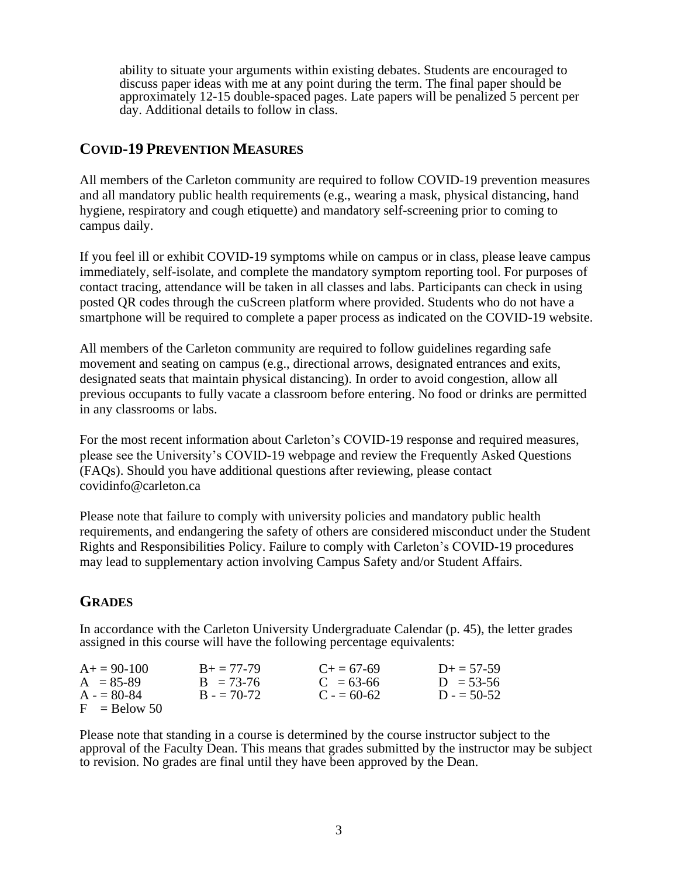ability to situate your arguments within existing debates. Students are encouraged to discuss paper ideas with me at any point during the term. The final paper should be approximately 12-15 double-spaced pages. Late papers will be penalized 5 percent per day. Additional details to follow in class.

## **COVID-19 PREVENTION MEASURES**

All members of the Carleton community are required to follow COVID-19 prevention measures and all mandatory public health requirements (e.g., wearing a mask, physical distancing, hand hygiene, respiratory and cough etiquette) and mandatory self-screening prior to coming to campus daily.

If you feel ill or exhibit COVID-19 symptoms while on campus or in class, please leave campus immediately, self-isolate, and complete the mandatory symptom reporting tool. For purposes of contact tracing, attendance will be taken in all classes and labs. Participants can check in using posted QR codes through the cuScreen platform where provided. Students who do not have a smartphone will be required to complete a paper process as indicated on the COVID-19 website.

All members of the Carleton community are required to follow guidelines regarding safe movement and seating on campus (e.g., directional arrows, designated entrances and exits, designated seats that maintain physical distancing). In order to avoid congestion, allow all previous occupants to fully vacate a classroom before entering. No food or drinks are permitted in any classrooms or labs.

For the most recent information about Carleton's COVID-19 response and required measures, please see the University's COVID-19 webpage and review the Frequently Asked Questions (FAQs). Should you have additional questions after reviewing, please contact covidinfo@carleton.ca

Please note that failure to comply with university policies and mandatory public health requirements, and endangering the safety of others are considered misconduct under the Student Rights and Responsibilities Policy. Failure to comply with Carleton's COVID-19 procedures may lead to supplementary action involving Campus Safety and/or Student Affairs.

## **GRADES**

In accordance with the Carleton University Undergraduate Calendar (p. 45), the letter grades assigned in this course will have the following percentage equivalents:

| $A+=90-100$    | $B_+ = 77 - 79$ | $C_{\pm} = 67 - 69$ | $D_{+} = 57 - 59$ |
|----------------|-----------------|---------------------|-------------------|
| $A = 85-89$    | $B = 73-76$     | $C = 63-66$         | $D = 53-56$       |
| $A = 80-84$    | $B = 70-72$     | $C = 60-62$         | $D = 50-52$       |
| $F =$ Relow 50 |                 |                     |                   |

Please note that standing in a course is determined by the course instructor subject to the approval of the Faculty Dean. This means that grades submitted by the instructor may be subject to revision. No grades are final until they have been approved by the Dean.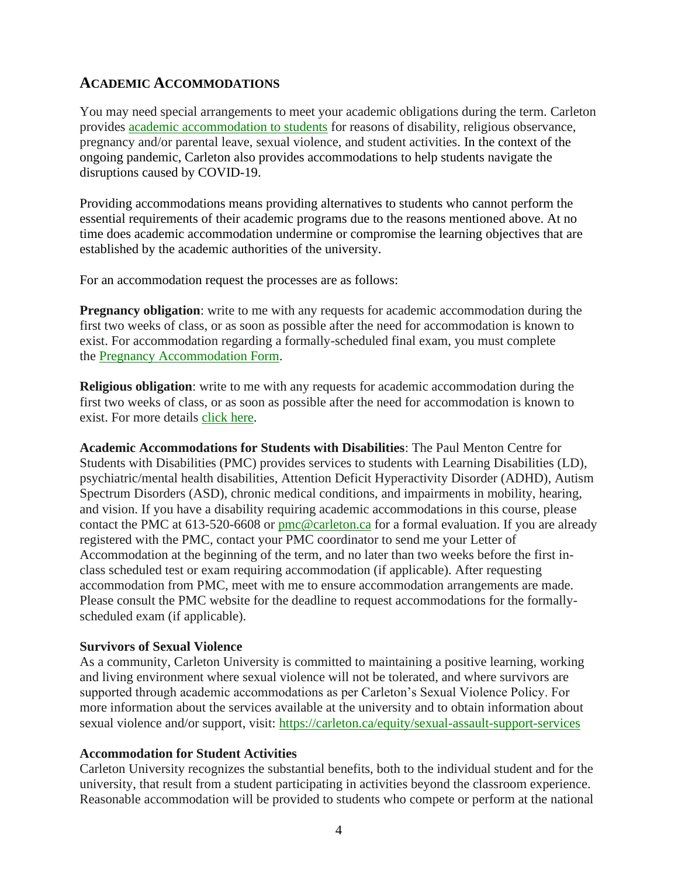## **ACADEMIC ACCOMMODATIONS**

You may need special arrangements to meet your academic obligations during the term. Carleton provides [academic accommodation to students](https://students.carleton.ca/course-outline/#survivors-of-sexual-violence) for reasons of disability, religious observance, pregnancy and/or parental leave, sexual violence, and student activities. In the context of the ongoing pandemic, Carleton also provides accommodations to help students navigate the disruptions caused by COVID-19.

Providing accommodations means providing alternatives to students who cannot perform the essential requirements of their academic programs due to the reasons mentioned above. At no time does academic accommodation undermine or compromise the learning objectives that are established by the academic authorities of the university.

For an accommodation request the processes are as follows:

**Pregnancy obligation**: write to me with any requests for academic accommodation during the first two weeks of class, or as soon as possible after the need for accommodation is known to exist. For accommodation regarding a formally-scheduled final exam, you must complete the [Pregnancy Accommodation Form.](https://carleton.ca/equity/contact/form-pregnancy-accommodation/)

**Religious obligation**: write to me with any requests for academic accommodation during the first two weeks of class, or as soon as possible after the need for accommodation is known to exist. For more details [click here.](https://carleton.ca/equity/focus/discrimination-harassment/religious-spiritual-observances/)

**Academic Accommodations for Students with Disabilities**: The Paul Menton Centre for Students with Disabilities (PMC) provides services to students with Learning Disabilities (LD), psychiatric/mental health disabilities, Attention Deficit Hyperactivity Disorder (ADHD), Autism Spectrum Disorders (ASD), chronic medical conditions, and impairments in mobility, hearing, and vision. If you have a disability requiring academic accommodations in this course, please contact the PMC at 613-520-6608 or [pmc@carleton.ca](mailto:pmc@carleton.ca) for a formal evaluation. If you are already registered with the PMC, contact your PMC coordinator to send me your Letter of Accommodation at the beginning of the term, and no later than two weeks before the first inclass scheduled test or exam requiring accommodation (if applicable). After requesting accommodation from PMC, meet with me to ensure accommodation arrangements are made. Please consult the PMC website for the deadline to request accommodations for the formallyscheduled exam (if applicable).

## **Survivors of Sexual Violence**

As a community, Carleton University is committed to maintaining a positive learning, working and living environment where sexual violence will not be tolerated, and where survivors are supported through academic accommodations as per Carleton's Sexual Violence Policy. For more information about the services available at the university and to obtain information about sexual violence and/or support, visit: <https://carleton.ca/equity/sexual-assault-support-services>

## **Accommodation for Student Activities**

Carleton University recognizes the substantial benefits, both to the individual student and for the university, that result from a student participating in activities beyond the classroom experience. Reasonable accommodation will be provided to students who compete or perform at the national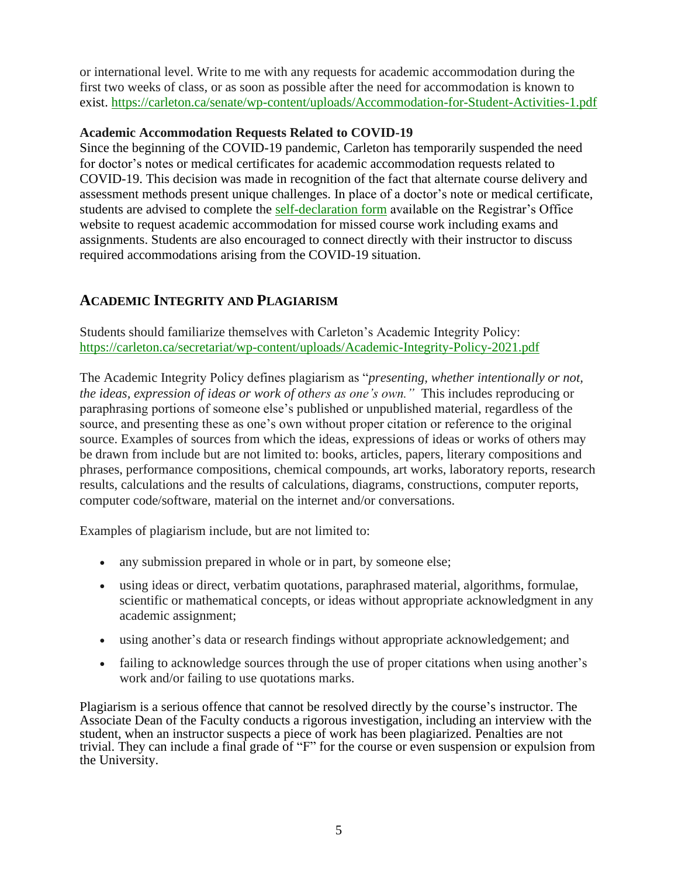or international level. Write to me with any requests for academic accommodation during the first two weeks of class, or as soon as possible after the need for accommodation is known to exist. <https://carleton.ca/senate/wp-content/uploads/Accommodation-for-Student-Activities-1.pdf>

## **Academic Accommodation Requests Related to COVID-19**

Since the beginning of the COVID-19 pandemic, Carleton has temporarily suspended the need for doctor's notes or medical certificates for academic accommodation requests related to COVID-19. This decision was made in recognition of the fact that alternate course delivery and assessment methods present unique challenges. In place of a doctor's note or medical certificate, students are advised to complete the [self-declaration form](https://carleton.ca/registrar/wp-content/uploads/self-declaration.pdf) available on the Registrar's Office website to request academic accommodation for missed course work including exams and assignments. Students are also encouraged to connect directly with their instructor to discuss required accommodations arising from the COVID-19 situation.

# **ACADEMIC INTEGRITY AND PLAGIARISM**

Students should familiarize themselves with Carleton's Academic Integrity Policy: <https://carleton.ca/secretariat/wp-content/uploads/Academic-Integrity-Policy-2021.pdf>

The Academic Integrity Policy defines plagiarism as "*presenting, whether intentionally or not, the ideas, expression of ideas or work of others as one's own."* This includes reproducing or paraphrasing portions of someone else's published or unpublished material, regardless of the source, and presenting these as one's own without proper citation or reference to the original source. Examples of sources from which the ideas, expressions of ideas or works of others may be drawn from include but are not limited to: books, articles, papers, literary compositions and phrases, performance compositions, chemical compounds, art works, laboratory reports, research results, calculations and the results of calculations, diagrams, constructions, computer reports, computer code/software, material on the internet and/or conversations.

Examples of plagiarism include, but are not limited to:

- any submission prepared in whole or in part, by someone else;
- using ideas or direct, verbatim quotations, paraphrased material, algorithms, formulae, scientific or mathematical concepts, or ideas without appropriate acknowledgment in any academic assignment;
- using another's data or research findings without appropriate acknowledgement; and
- failing to acknowledge sources through the use of proper citations when using another's work and/or failing to use quotations marks.

Plagiarism is a serious offence that cannot be resolved directly by the course's instructor. The Associate Dean of the Faculty conducts a rigorous investigation, including an interview with the student, when an instructor suspects a piece of work has been plagiarized. Penalties are not trivial. They can include a final grade of "F" for the course or even suspension or expulsion from the University.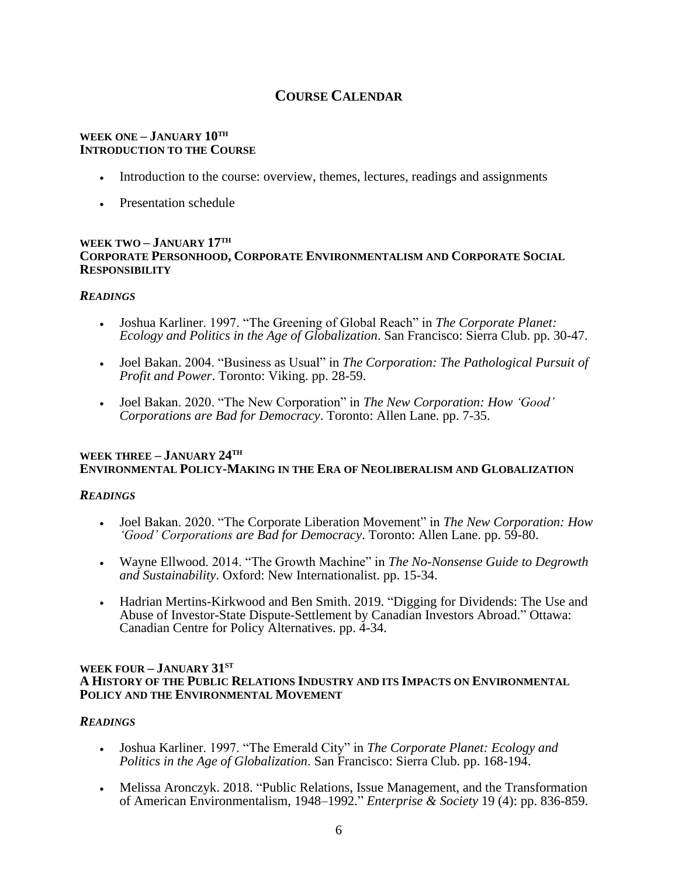# **COURSE CALENDAR**

#### **WEEK ONE – JANUARY 10TH INTRODUCTION TO THE COURSE**

- Introduction to the course: overview, themes, lectures, readings and assignments
- Presentation schedule

#### **WEEK TWO – JANUARY 17TH CORPORATE PERSONHOOD, CORPORATE ENVIRONMENTALISM AND CORPORATE SOCIAL RESPONSIBILITY**

#### *READINGS*

- Joshua Karliner. 1997. "The Greening of Global Reach" in *The Corporate Planet: Ecology and Politics in the Age of Globalization*. San Francisco: Sierra Club. pp. 30-47.
- Joel Bakan. 2004. "Business as Usual" in *The Corporation: The Pathological Pursuit of Profit and Power*. Toronto: Viking. pp. 28-59.
- Joel Bakan. 2020. "The New Corporation" in *The New Corporation: How 'Good' Corporations are Bad for Democracy*. Toronto: Allen Lane. pp. 7-35.

#### **WEEK THREE – JANUARY 24TH ENVIRONMENTAL POLICY-MAKING IN THE ERA OF NEOLIBERALISM AND GLOBALIZATION**

## *READINGS*

- Joel Bakan. 2020. "The Corporate Liberation Movement" in *The New Corporation: How 'Good' Corporations are Bad for Democracy*. Toronto: Allen Lane. pp. 59-80.
- Wayne Ellwood. 2014. "The Growth Machine" in *The No-Nonsense Guide to Degrowth and Sustainability*. Oxford: New Internationalist. pp. 15-34.
- Hadrian Mertins-Kirkwood and Ben Smith. 2019. "Digging for Dividends: The Use and Abuse of Investor-State Dispute-Settlement by Canadian Investors Abroad." Ottawa: Canadian Centre for Policy Alternatives. pp. 4-34.

#### **WEEK FOUR – JANUARY 31ST A HISTORY OF THE PUBLIC RELATIONS INDUSTRY AND ITS IMPACTS ON ENVIRONMENTAL POLICY AND THE ENVIRONMENTAL MOVEMENT**

## *READINGS*

- Joshua Karliner. 1997. "The Emerald City" in *The Corporate Planet: Ecology and Politics in the Age of Globalization*. San Francisco: Sierra Club. pp. 168-194.
- Melissa Aronczyk. 2018. "Public Relations, Issue Management, and the Transformation of American Environmentalism, 1948–1992." *Enterprise & Society* 19 (4): pp. 836-859.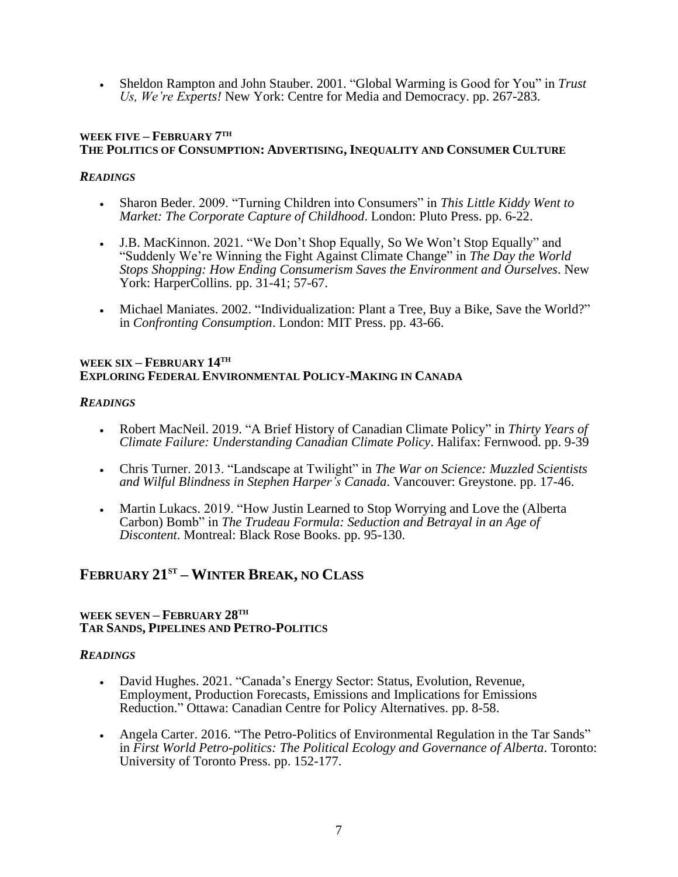• Sheldon Rampton and John Stauber. 2001. "Global Warming is Good for You" in *Trust Us, We're Experts!* New York: Centre for Media and Democracy. pp. 267-283.

### **WEEK FIVE – FEBRUARY 7 TH THE POLITICS OF CONSUMPTION: ADVERTISING, INEQUALITY AND CONSUMER CULTURE**

### *READINGS*

- Sharon Beder. 2009. "Turning Children into Consumers" in *This Little Kiddy Went to Market: The Corporate Capture of Childhood*. London: Pluto Press. pp. 6-22.
- J.B. MacKinnon. 2021. "We Don't Shop Equally, So We Won't Stop Equally" and "Suddenly We're Winning the Fight Against Climate Change" in *The Day the World Stops Shopping: How Ending Consumerism Saves the Environment and Ourselves*. New York: HarperCollins. pp. 31-41; 57-67.
- Michael Maniates. 2002. "Individualization: Plant a Tree, Buy a Bike, Save the World?" in *Confronting Consumption*. London: MIT Press. pp. 43-66.

#### **WEEK SIX – FEBRUARY 14TH EXPLORING FEDERAL ENVIRONMENTAL POLICY-MAKING IN CANADA**

### *READINGS*

- Robert MacNeil. 2019. "A Brief History of Canadian Climate Policy" in *Thirty Years of Climate Failure: Understanding Canadian Climate Policy*. Halifax: Fernwood. pp. 9-39
- Chris Turner. 2013. "Landscape at Twilight" in *The War on Science: Muzzled Scientists and Wilful Blindness in Stephen Harper's Canada*. Vancouver: Greystone. pp. 17-46.
- Martin Lukacs. 2019. "How Justin Learned to Stop Worrying and Love the (Alberta Carbon) Bomb" in *The Trudeau Formula: Seduction and Betrayal in an Age of Discontent*. Montreal: Black Rose Books. pp. 95-130.

# **FEBRUARY 21ST – WINTER BREAK, NO CLASS**

#### **WEEK SEVEN – FEBRUARY 28TH TAR SANDS, PIPELINES AND PETRO-POLITICS**

#### *READINGS*

- David Hughes. 2021. "Canada's Energy Sector: Status, Evolution, Revenue, Employment, Production Forecasts, Emissions and Implications for Emissions Reduction." Ottawa: Canadian Centre for Policy Alternatives. pp. 8-58.
- Angela Carter. 2016. "The Petro-Politics of Environmental Regulation in the Tar Sands" in *First World Petro-politics: The Political Ecology and Governance of Alberta*. Toronto: University of Toronto Press. pp. 152-177.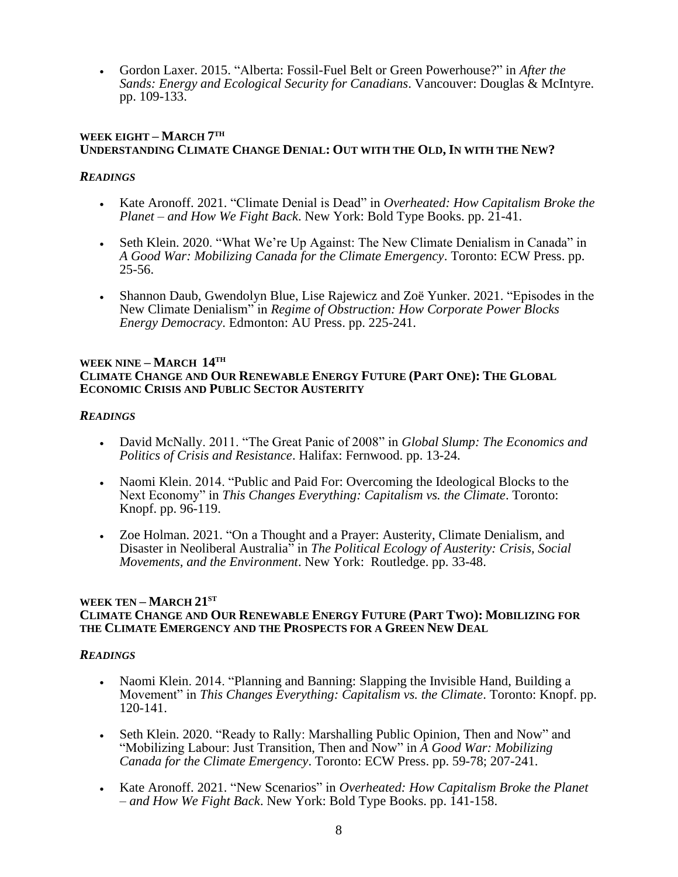• Gordon Laxer. 2015. "Alberta: Fossil-Fuel Belt or Green Powerhouse?" in *After the Sands: Energy and Ecological Security for Canadians*. Vancouver: Douglas & McIntyre. pp. 109-133.

### **WEEK EIGHT – MARCH 7 TH UNDERSTANDING CLIMATE CHANGE DENIAL: OUT WITH THE OLD, IN WITH THE NEW?**

## *READINGS*

- Kate Aronoff. 2021. "Climate Denial is Dead" in *Overheated: How Capitalism Broke the Planet – and How We Fight Back*. New York: Bold Type Books. pp. 21-41.
- Seth Klein. 2020. "What We're Up Against: The New Climate Denialism in Canada" in *A Good War: Mobilizing Canada for the Climate Emergency*. Toronto: ECW Press. pp. 25-56.
- Shannon Daub, Gwendolyn Blue, Lise Rajewicz and Zoë Yunker. 2021. "Episodes in the New Climate Denialism" in *Regime of Obstruction: How Corporate Power Blocks Energy Democracy*. Edmonton: AU Press. pp. 225-241.

#### **WEEK NINE – MARCH 14TH CLIMATE CHANGE AND OUR RENEWABLE ENERGY FUTURE (PART ONE): THE GLOBAL ECONOMIC CRISIS AND PUBLIC SECTOR AUSTERITY**

## *READINGS*

- David McNally. 2011. "The Great Panic of 2008" in *Global Slump: The Economics and Politics of Crisis and Resistance*. Halifax: Fernwood. pp. 13-24.
- Naomi Klein. 2014. "Public and Paid For: Overcoming the Ideological Blocks to the Next Economy" in *This Changes Everything: Capitalism vs. the Climate*. Toronto: Knopf. pp. 96-119.
- Zoe Holman. 2021. "On a Thought and a Prayer: Austerity, Climate Denialism, and Disaster in Neoliberal Australia" in *The Political Ecology of Austerity: Crisis, Social Movements, and the Environment*. New York: Routledge. pp. 33-48.

#### **WEEK TEN – MARCH 21ST CLIMATE CHANGE AND OUR RENEWABLE ENERGY FUTURE (PART TWO): MOBILIZING FOR THE CLIMATE EMERGENCY AND THE PROSPECTS FOR A GREEN NEW DEAL**

## *READINGS*

- Naomi Klein. 2014. "Planning and Banning: Slapping the Invisible Hand, Building a Movement" in *This Changes Everything: Capitalism vs. the Climate*. Toronto: Knopf. pp. 120-141.
- Seth Klein. 2020. "Ready to Rally: Marshalling Public Opinion, Then and Now" and "Mobilizing Labour: Just Transition, Then and Now" in *A Good War: Mobilizing Canada for the Climate Emergency*. Toronto: ECW Press. pp. 59-78; 207-241.
- Kate Aronoff. 2021. "New Scenarios" in *Overheated: How Capitalism Broke the Planet – and How We Fight Back*. New York: Bold Type Books. pp. 141-158.